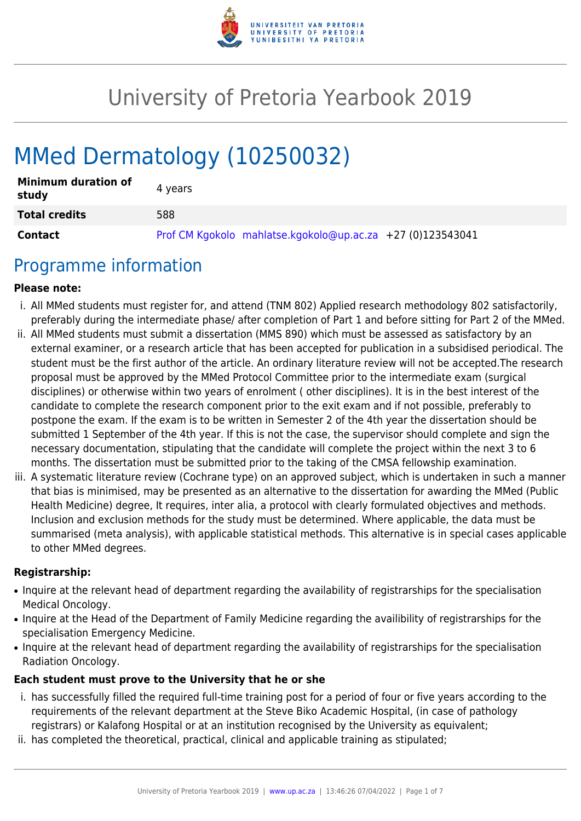

# University of Pretoria Yearbook 2019

# MMed Dermatology (10250032)

| <b>Minimum duration of</b><br>study | 4 vears                                                    |
|-------------------------------------|------------------------------------------------------------|
| <b>Total credits</b>                | 588                                                        |
| <b>Contact</b>                      | Prof CM Kgokolo mahlatse.kgokolo@up.ac.za +27 (0)123543041 |

## Programme information

#### **Please note:**

- i. All MMed students must register for, and attend (TNM 802) Applied research methodology 802 satisfactorily, preferably during the intermediate phase/ after completion of Part 1 and before sitting for Part 2 of the MMed.
- ii. All MMed students must submit a dissertation (MMS 890) which must be assessed as satisfactory by an external examiner, or a research article that has been accepted for publication in a subsidised periodical. The student must be the first author of the article. An ordinary literature review will not be accepted.The research proposal must be approved by the MMed Protocol Committee prior to the intermediate exam (surgical disciplines) or otherwise within two years of enrolment ( other disciplines). It is in the best interest of the candidate to complete the research component prior to the exit exam and if not possible, preferably to postpone the exam. If the exam is to be written in Semester 2 of the 4th year the dissertation should be submitted 1 September of the 4th year. If this is not the case, the supervisor should complete and sign the necessary documentation, stipulating that the candidate will complete the project within the next 3 to 6 months. The dissertation must be submitted prior to the taking of the CMSA fellowship examination.
- iii. A systematic literature review (Cochrane type) on an approved subject, which is undertaken in such a manner that bias is minimised, may be presented as an alternative to the dissertation for awarding the MMed (Public Health Medicine) degree, It requires, inter alia, a protocol with clearly formulated objectives and methods. Inclusion and exclusion methods for the study must be determined. Where applicable, the data must be summarised (meta analysis), with applicable statistical methods. This alternative is in special cases applicable to other MMed degrees.

#### **Registrarship:**

- Inquire at the relevant head of department regarding the availability of registrarships for the specialisation Medical Oncology.
- Inquire at the Head of the Department of Family Medicine regarding the availibility of registrarships for the specialisation Emergency Medicine.
- Inquire at the relevant head of department regarding the availability of registrarships for the specialisation Radiation Oncology.

#### **Each student must prove to the University that he or she**

- i. has successfully filled the required full-time training post for a period of four or five years according to the requirements of the relevant department at the Steve Biko Academic Hospital, (in case of pathology registrars) or Kalafong Hospital or at an institution recognised by the University as equivalent;
- ii. has completed the theoretical, practical, clinical and applicable training as stipulated;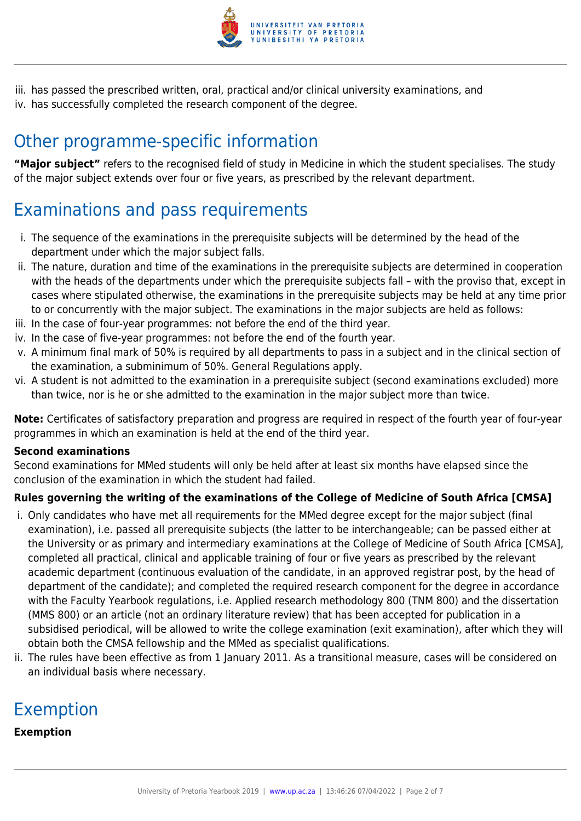

iii. has passed the prescribed written, oral, practical and/or clinical university examinations, and iv. has successfully completed the research component of the degree.

# Other programme-specific information

**"Major subject"** refers to the recognised field of study in Medicine in which the student specialises. The study of the major subject extends over four or five years, as prescribed by the relevant department.

# Examinations and pass requirements

- i. The sequence of the examinations in the prerequisite subjects will be determined by the head of the department under which the major subject falls.
- ii. The nature, duration and time of the examinations in the prerequisite subjects are determined in cooperation with the heads of the departments under which the prerequisite subjects fall – with the proviso that, except in cases where stipulated otherwise, the examinations in the prerequisite subjects may be held at any time prior to or concurrently with the major subject. The examinations in the major subjects are held as follows:
- iii. In the case of four-year programmes: not before the end of the third year.
- iv. In the case of five-year programmes: not before the end of the fourth year.
- v. A minimum final mark of 50% is required by all departments to pass in a subject and in the clinical section of the examination, a subminimum of 50%. General Regulations apply.
- vi. A student is not admitted to the examination in a prerequisite subject (second examinations excluded) more than twice, nor is he or she admitted to the examination in the major subject more than twice.

**Note:** Certificates of satisfactory preparation and progress are required in respect of the fourth year of four-year programmes in which an examination is held at the end of the third year.

#### **Second examinations**

Second examinations for MMed students will only be held after at least six months have elapsed since the conclusion of the examination in which the student had failed.

#### **Rules governing the writing of the examinations of the College of Medicine of South Africa [CMSA]**

- i. Only candidates who have met all requirements for the MMed degree except for the major subject (final examination), i.e. passed all prerequisite subjects (the latter to be interchangeable; can be passed either at the University or as primary and intermediary examinations at the College of Medicine of South Africa [CMSA], completed all practical, clinical and applicable training of four or five years as prescribed by the relevant academic department (continuous evaluation of the candidate, in an approved registrar post, by the head of department of the candidate); and completed the required research component for the degree in accordance with the Faculty Yearbook regulations, i.e. Applied research methodology 800 (TNM 800) and the dissertation (MMS 800) or an article (not an ordinary literature review) that has been accepted for publication in a subsidised periodical, will be allowed to write the college examination (exit examination), after which they will obtain both the CMSA fellowship and the MMed as specialist qualifications.
- ii. The rules have been effective as from 1 January 2011. As a transitional measure, cases will be considered on an individual basis where necessary.

# Exemption

#### **Exemption**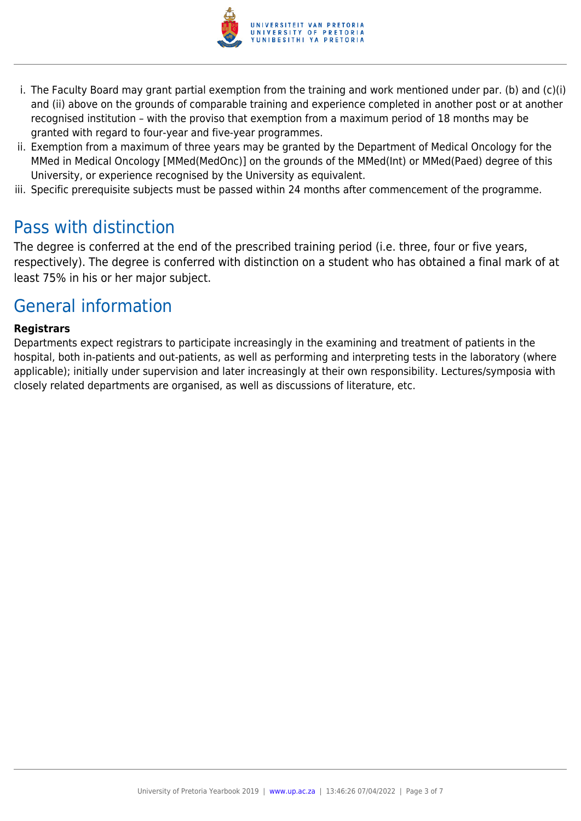

- i. The Faculty Board may grant partial exemption from the training and work mentioned under par. (b) and (c)(i) and (ii) above on the grounds of comparable training and experience completed in another post or at another recognised institution – with the proviso that exemption from a maximum period of 18 months may be granted with regard to four-year and five-year programmes.
- ii. Exemption from a maximum of three years may be granted by the Department of Medical Oncology for the MMed in Medical Oncology [MMed(MedOnc)] on the grounds of the MMed(Int) or MMed(Paed) degree of this University, or experience recognised by the University as equivalent.
- iii. Specific prerequisite subjects must be passed within 24 months after commencement of the programme.

### Pass with distinction

The degree is conferred at the end of the prescribed training period (i.e. three, four or five years, respectively). The degree is conferred with distinction on a student who has obtained a final mark of at least 75% in his or her major subject.

### General information

#### **Registrars**

Departments expect registrars to participate increasingly in the examining and treatment of patients in the hospital, both in-patients and out-patients, as well as performing and interpreting tests in the laboratory (where applicable); initially under supervision and later increasingly at their own responsibility. Lectures/symposia with closely related departments are organised, as well as discussions of literature, etc.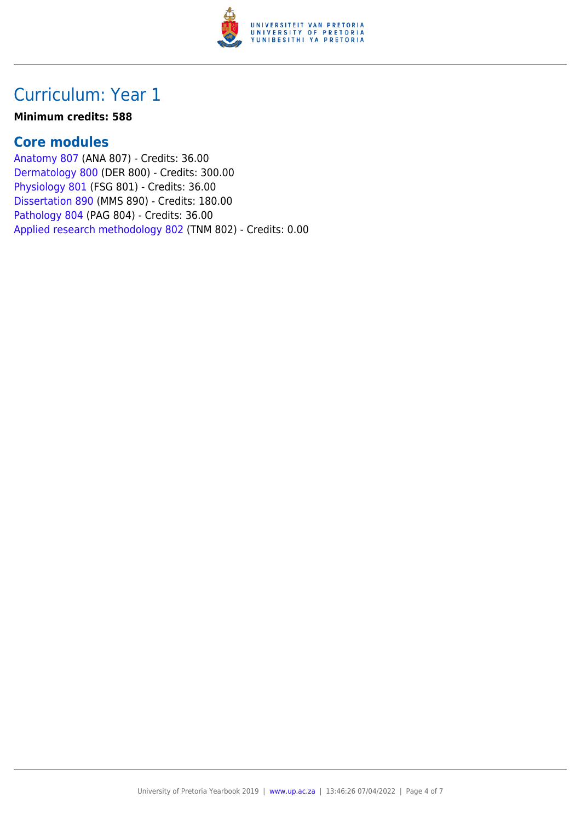

## Curriculum: Year 1

#### **Minimum credits: 588**

### **Core modules**

[Anatomy 807](https://www.up.ac.za/faculty-of-education/yearbooks/2019/modules/view/ANA 807) (ANA 807) - Credits: 36.00 [Dermatology 800](https://www.up.ac.za/faculty-of-education/yearbooks/2019/modules/view/DER 800) (DER 800) - Credits: 300.00 [Physiology 801](https://www.up.ac.za/faculty-of-education/yearbooks/2019/modules/view/FSG 801) (FSG 801) - Credits: 36.00 [Dissertation 890](https://www.up.ac.za/faculty-of-education/yearbooks/2019/modules/view/MMS 890) (MMS 890) - Credits: 180.00 [Pathology 804](https://www.up.ac.za/faculty-of-education/yearbooks/2019/modules/view/PAG 804) (PAG 804) - Credits: 36.00 [Applied research methodology 802](https://www.up.ac.za/faculty-of-education/yearbooks/2019/modules/view/TNM 802) (TNM 802) - Credits: 0.00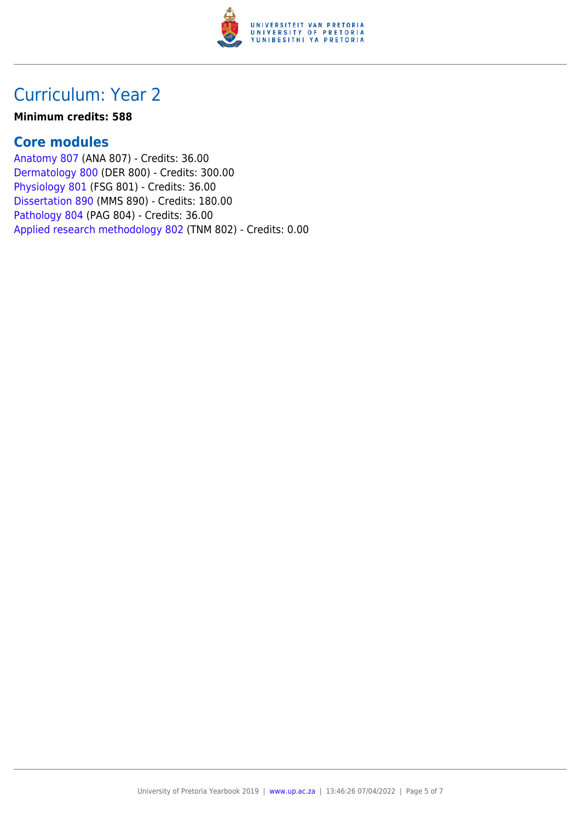

## Curriculum: Year 2

#### **Minimum credits: 588**

### **Core modules**

[Anatomy 807](https://www.up.ac.za/faculty-of-education/yearbooks/2019/modules/view/ANA 807) (ANA 807) - Credits: 36.00 [Dermatology 800](https://www.up.ac.za/faculty-of-education/yearbooks/2019/modules/view/DER 800) (DER 800) - Credits: 300.00 [Physiology 801](https://www.up.ac.za/faculty-of-education/yearbooks/2019/modules/view/FSG 801) (FSG 801) - Credits: 36.00 [Dissertation 890](https://www.up.ac.za/faculty-of-education/yearbooks/2019/modules/view/MMS 890) (MMS 890) - Credits: 180.00 [Pathology 804](https://www.up.ac.za/faculty-of-education/yearbooks/2019/modules/view/PAG 804) (PAG 804) - Credits: 36.00 [Applied research methodology 802](https://www.up.ac.za/faculty-of-education/yearbooks/2019/modules/view/TNM 802) (TNM 802) - Credits: 0.00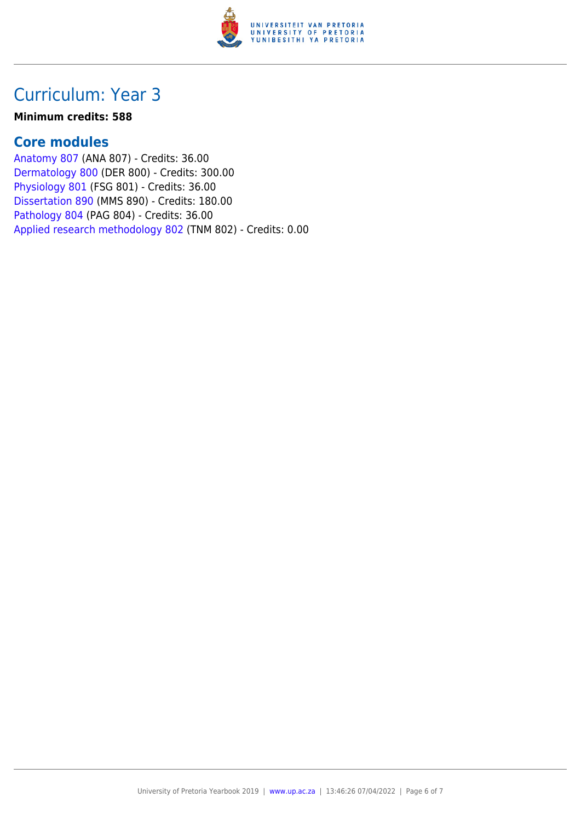

## Curriculum: Year 3

#### **Minimum credits: 588**

### **Core modules**

[Anatomy 807](https://www.up.ac.za/faculty-of-education/yearbooks/2019/modules/view/ANA 807) (ANA 807) - Credits: 36.00 [Dermatology 800](https://www.up.ac.za/faculty-of-education/yearbooks/2019/modules/view/DER 800) (DER 800) - Credits: 300.00 [Physiology 801](https://www.up.ac.za/faculty-of-education/yearbooks/2019/modules/view/FSG 801) (FSG 801) - Credits: 36.00 [Dissertation 890](https://www.up.ac.za/faculty-of-education/yearbooks/2019/modules/view/MMS 890) (MMS 890) - Credits: 180.00 [Pathology 804](https://www.up.ac.za/faculty-of-education/yearbooks/2019/modules/view/PAG 804) (PAG 804) - Credits: 36.00 [Applied research methodology 802](https://www.up.ac.za/faculty-of-education/yearbooks/2019/modules/view/TNM 802) (TNM 802) - Credits: 0.00